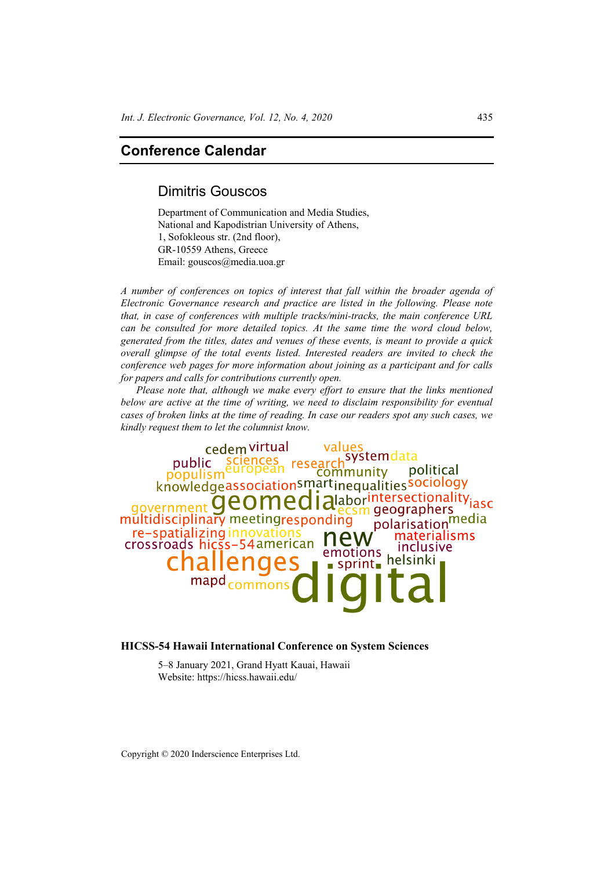# **Conference Calendar**

## Dimitris Gouscos

Department of Communication and Media Studies, National and Kapodistrian University of Athens, 1, Sofokleous str. (2nd floor), GR-10559 Athens, Greece Email: gouscos@media.uoa.gr

*A number of conferences on topics of interest that fall within the broader agenda of Electronic Governance research and practice are listed in the following. Please note that, in case of conferences with multiple tracks/mini-tracks, the main conference URL can be consulted for more detailed topics. At the same time the word cloud below, generated from the titles, dates and venues of these events, is meant to provide a quick overall glimpse of the total events listed. Interested readers are invited to check the conference web pages for more information about joining as a participant and for calls for papers and calls for contributions currently open.* 

*Please note that, although we make every effort to ensure that the links mentioned below are active at the time of writing, we need to disclaim responsibility for eventual cases of broken links at the time of reading. In case our readers spot any such cases, we kindly request them to let the columnist know.* 

cedem virtual systemdata research public publism<sup>e</sup> political community knowledgeassociationsmartinequalitiessociology<br>ernment **QCOMCC | alaborintersectionality**iasc aovernment ecsm geographers multidisciplinary meetingresponding polarisation<sup>media</sup> re-spatializing innovations materialisms crossroads hicss-54 american inclusive emotions helsinki  $\blacksquare$  sprint

#### **HICSS-54 Hawaii International Conference on System Sciences**

5–8 January 2021, Grand Hyatt Kauai, Hawaii Website: https://hicss.hawaii.edu/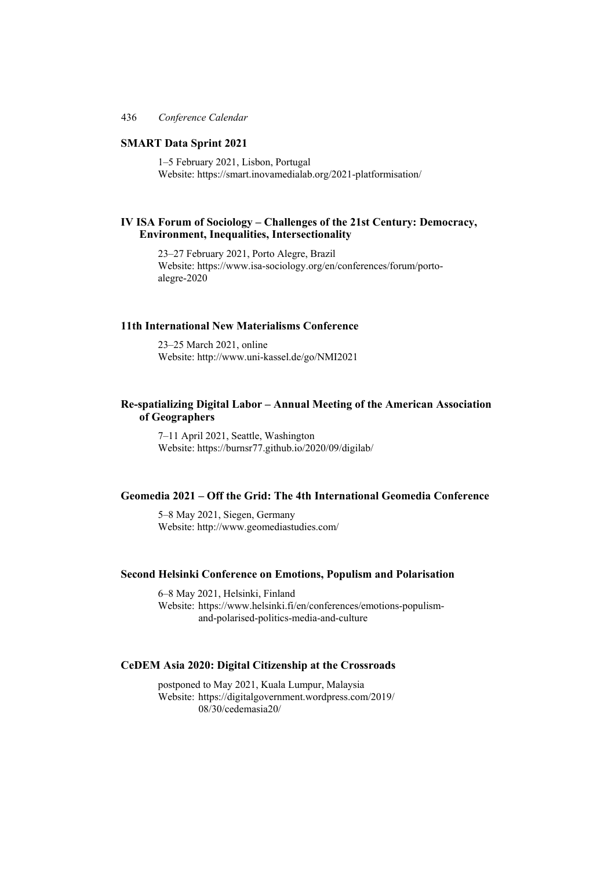## **SMART Data Sprint 2021**

1–5 February 2021, Lisbon, Portugal Website: https://smart.inovamedialab.org/2021-platformisation/

## **IV ISA Forum of Sociology – Challenges of the 21st Century: Democracy, Environment, Inequalities, Intersectionality**

23–27 February 2021, Porto Alegre, Brazil Website: https://www.isa-sociology.org/en/conferences/forum/portoalegre-2020

## **11th International New Materialisms Conference**

23–25 March 2021, online Website: http://www.uni-kassel.de/go/NMI2021

## **Re-spatializing Digital Labor – Annual Meeting of the American Association of Geographers**

7–11 April 2021, Seattle, Washington Website: https://burnsr77.github.io/2020/09/digilab/

## **Geomedia 2021 – Off the Grid: The 4th International Geomedia Conference**

5–8 May 2021, Siegen, Germany Website: http://www.geomediastudies.com/

#### **Second Helsinki Conference on Emotions, Populism and Polarisation**

6–8 May 2021, Helsinki, Finland Website: https://www.helsinki.fi/en/conferences/emotions-populism and-polarised-politics-media-and-culture

## **CeDEM Asia 2020: Digital Citizenship at the Crossroads**

postponed to May 2021, Kuala Lumpur, Malaysia Website: https://digitalgovernment.wordpress.com/2019/ 08/30/cedemasia20/